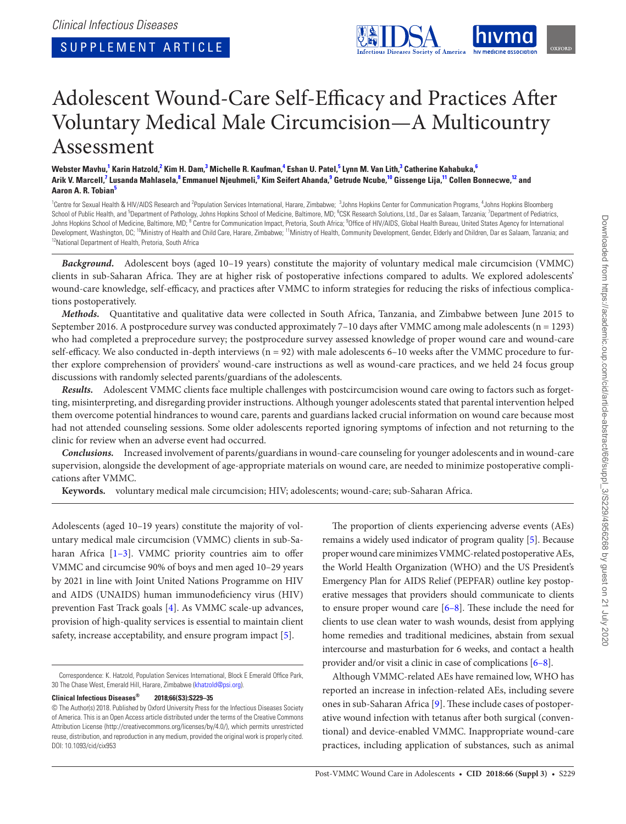

# Adolescent Wound-Care Self-Efficacy and Practices After Voluntary Medical Male Circumcision—A Multicountry Assessment

#### Webster Mavhu,<sup>1</sup> Karin Hatzold,<sup>2</sup> Kim H. Dam,<sup>3</sup> Michelle R. Kaufman,<sup>4</sup> Eshan U. Patel,<sup>5</sup> Lynn M. Van Lith,<sup>3</sup> Catherine Kahabuka,<sup>6</sup> Arik V. Marcell,<sup>7</sup> Lusanda Mahlasela,<sup>8</sup> Emmanuel Njeuhmeli,<sup>9</sup> Kim Seifert Ahanda,<sup>9</sup> Getrude Ncube,<sup>10</sup> Gissenge Lija,<sup>11</sup> Collen Bonnecwe,<sup>12</sup> and **Aaron A. R. Tobian<sup>5</sup>**

<sup>1</sup>Centre for Sexual Health & HIV/AIDS Research and <sup>2</sup>Population Services International, Harare, Zimbabwe; <sup>3</sup>Johns Hopkins Center for Communication Programs, <sup>4</sup>Johns Hopkins Bloomberg School of Public Health, and <sup>5</sup>Department of Pathology, Johns Hopkins School of Medicine, Baltimore, MD; <sup>6</sup>CSK Research Solutions, Ltd., Dar es Salaam, Tanzania; <sup>7</sup>Department of Pediatrics, Johns Hopkins School of Medicine, Baltimore, MD; <sup>8</sup> Centre for Communication Impact, Pretoria, South Africa; <sup>9</sup>Office of HIV/AIDS, Global Health Bureau, United States Agency for International Development, Washington, DC; <sup>10</sup>Ministry of Health and Child Care, Harare, Zimbabwe; <sup>11</sup>Ministry of Health, Community Development, Gender, Elderly and Children, Dar es Salaam, Tanzania; and<br><sup>12</sup>National Department of Hea

*Background.* Adolescent boys (aged 10–19 years) constitute the majority of voluntary medical male circumcision (VMMC) clients in sub-Saharan Africa. They are at higher risk of postoperative infections compared to adults. We explored adolescents' wound-care knowledge, self-efficacy, and practices after VMMC to inform strategies for reducing the risks of infectious complications postoperatively.

*Methods.* Quantitative and qualitative data were collected in South Africa, Tanzania, and Zimbabwe between June 2015 to September 2016. A postprocedure survey was conducted approximately  $7-10$  days after VMMC among male adolescents ( $n = 1293$ ) who had completed a preprocedure survey; the postprocedure survey assessed knowledge of proper wound care and wound-care self-efficacy. We also conducted in-depth interviews (n = 92) with male adolescents 6–10 weeks after the VMMC procedure to further explore comprehension of providers' wound-care instructions as well as wound-care practices, and we held 24 focus group discussions with randomly selected parents/guardians of the adolescents.

*Results.* Adolescent VMMC clients face multiple challenges with postcircumcision wound care owing to factors such as forgetting, misinterpreting, and disregarding provider instructions. Although younger adolescents stated that parental intervention helped them overcome potential hindrances to wound care, parents and guardians lacked crucial information on wound care because most had not attended counseling sessions. Some older adolescents reported ignoring symptoms of infection and not returning to the clinic for review when an adverse event had occurred.

*Conclusions.* Increased involvement of parents/guardians in wound-care counseling for younger adolescents and in wound-care supervision, alongside the development of age-appropriate materials on wound care, are needed to minimize postoperative complications after VMMC.

**Keywords.** voluntary medical male circumcision; HIV; adolescents; wound-care; sub-Saharan Africa.

Adolescents (aged 10–19 years) constitute the majority of voluntary medical male circumcision (VMMC) clients in sub-Saharan Africa [1-3]. VMMC priority countries aim to offer VMMC and circumcise 90% of boys and men aged 10–29 years by 2021 in line with Joint United Nations Programme on HIV and AIDS (UNAIDS) human immunodeficiency virus (HIV) prevention Fast Track goals [4]. As VMMC scale-up advances, provision of high-quality services is essential to maintain client safety, increase acceptability, and ensure program impact [5].

#### **Clinical Infectious Diseases® 2018;66(S3):S229–35**

The proportion of clients experiencing adverse events (AEs) remains a widely used indicator of program quality [5]. Because proper wound care minimizes VMMC-related postoperative AEs, the World Health Organization (WHO) and the US President's Emergency Plan for AIDS Relief (PEPFAR) outline key postoperative messages that providers should communicate to clients to ensure proper wound care [6–8]. These include the need for clients to use clean water to wash wounds, desist from applying home remedies and traditional medicines, abstain from sexual intercourse and masturbation for 6 weeks, and contact a health provider and/or visit a clinic in case of complications [6–8].

Although VMMC-related AEs have remained low, WHO has reported an increase in infection-related AEs, including severe ones in sub-Saharan Africa [9]. These include cases of postoperative wound infection with tetanus after both surgical (conventional) and device-enabled VMMC. Inappropriate wound-care practices, including application of substances, such as animal

Correspondence: K. Hatzold, Population Services International, Block E Emerald Office Park, 30 The Chase West, Emerald Hill, Harare, Zimbabwe (khatzold@psi.org).

<sup>©</sup> The Author(s) 2018. Published by Oxford University Press for the Infectious Diseases Society of America. This is an Open Access article distributed under the terms of the Creative Commons Attribution License (http://creativecommons.org/licenses/by/4.0/), which permits unrestricted reuse, distribution, and reproduction in any medium, provided the original work is properly cited. DOI: 10.1093/cid/cix953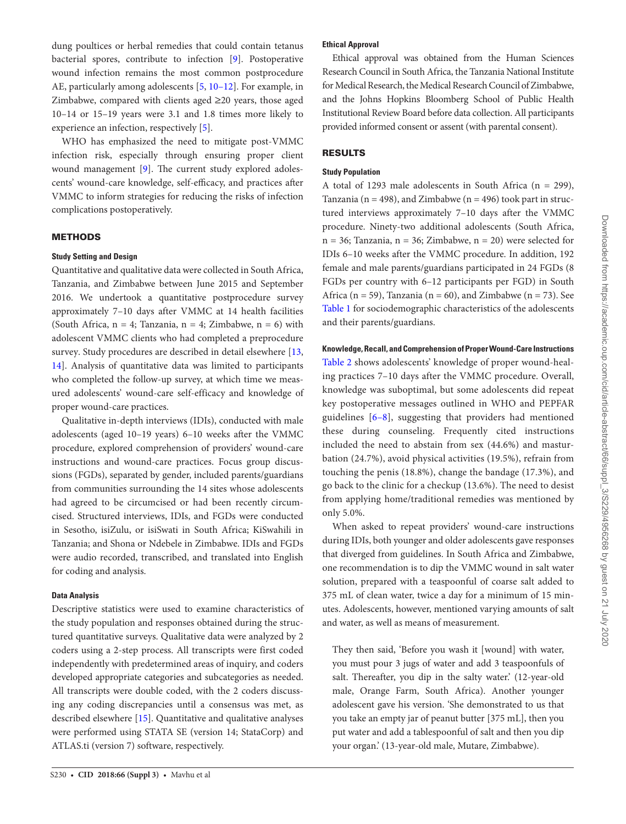dung poultices or herbal remedies that could contain tetanus bacterial spores, contribute to infection [9]. Postoperative wound infection remains the most common postprocedure AE, particularly among adolescents [5, 10–12]. For example, in Zimbabwe, compared with clients aged ≥20 years, those aged 10–14 or 15–19 years were 3.1 and 1.8 times more likely to experience an infection, respectively [5].

WHO has emphasized the need to mitigate post-VMMC infection risk, especially through ensuring proper client wound management [9]. The current study explored adolescents' wound-care knowledge, self-efficacy, and practices after VMMC to inform strategies for reducing the risks of infection complications postoperatively.

# **METHODS**

#### **Study Setting and Design**

Quantitative and qualitative data were collected in South Africa, Tanzania, and Zimbabwe between June 2015 and September 2016. We undertook a quantitative postprocedure survey approximately 7–10 days after VMMC at 14 health facilities (South Africa,  $n = 4$ ; Tanzania,  $n = 4$ ; Zimbabwe,  $n = 6$ ) with adolescent VMMC clients who had completed a preprocedure survey. Study procedures are described in detail elsewhere [13, 14]. Analysis of quantitative data was limited to participants who completed the follow-up survey, at which time we measured adolescents' wound-care self-efficacy and knowledge of proper wound-care practices.

Qualitative in-depth interviews (IDIs), conducted with male adolescents (aged 10–19 years) 6–10 weeks after the VMMC procedure, explored comprehension of providers' wound-care instructions and wound-care practices. Focus group discussions (FGDs), separated by gender, included parents/guardians from communities surrounding the 14 sites whose adolescents had agreed to be circumcised or had been recently circumcised. Structured interviews, IDIs, and FGDs were conducted in Sesotho, isiZulu, or isiSwati in South Africa; KiSwahili in Tanzania; and Shona or Ndebele in Zimbabwe. IDIs and FGDs were audio recorded, transcribed, and translated into English for coding and analysis.

## **Data Analysis**

Descriptive statistics were used to examine characteristics of the study population and responses obtained during the structured quantitative surveys. Qualitative data were analyzed by 2 coders using a 2-step process. All transcripts were first coded independently with predetermined areas of inquiry, and coders developed appropriate categories and subcategories as needed. All transcripts were double coded, with the 2 coders discussing any coding discrepancies until a consensus was met, as described elsewhere [15]. Quantitative and qualitative analyses were performed using STATA SE (version 14; StataCorp) and ATLAS.ti (version 7) software, respectively.

#### S230 • **CID 2018:66 (Suppl 3)** • Mavhu et al

## **Ethical Approval**

Ethical approval was obtained from the Human Sciences Research Council in South Africa, the Tanzania National Institute for Medical Research, the Medical Research Council of Zimbabwe, and the Johns Hopkins Bloomberg School of Public Health Institutional Review Board before data collection. All participants provided informed consent or assent (with parental consent).

## RESULTS

#### **Study Population**

A total of 1293 male adolescents in South Africa ( $n = 299$ ), Tanzania ( $n = 498$ ), and Zimbabwe ( $n = 496$ ) took part in structured interviews approximately 7–10 days after the VMMC procedure. Ninety-two additional adolescents (South Africa,  $n = 36$ ; Tanzania,  $n = 36$ ; Zimbabwe,  $n = 20$ ) were selected for IDIs 6–10 weeks after the VMMC procedure. In addition, 192 female and male parents/guardians participated in 24 FGDs (8 FGDs per country with 6–12 participants per FGD) in South Africa ( $n = 59$ ), Tanzania ( $n = 60$ ), and Zimbabwe ( $n = 73$ ). See Table 1 for sociodemographic characteristics of the adolescents and their parents/guardians.

#### **Knowledge, Recall, and Comprehension of Proper Wound-Care Instructions**

Table 2 shows adolescents' knowledge of proper wound-healing practices 7–10 days after the VMMC procedure. Overall, knowledge was suboptimal, but some adolescents did repeat key postoperative messages outlined in WHO and PEPFAR guidelines [6–8], suggesting that providers had mentioned these during counseling. Frequently cited instructions included the need to abstain from sex (44.6%) and masturbation (24.7%), avoid physical activities (19.5%), refrain from touching the penis (18.8%), change the bandage (17.3%), and go back to the clinic for a checkup (13.6%). The need to desist from applying home/traditional remedies was mentioned by only 5.0%.

When asked to repeat providers' wound-care instructions during IDIs, both younger and older adolescents gave responses that diverged from guidelines. In South Africa and Zimbabwe, one recommendation is to dip the VMMC wound in salt water solution, prepared with a teaspoonful of coarse salt added to 375 mL of clean water, twice a day for a minimum of 15 minutes. Adolescents, however, mentioned varying amounts of salt and water, as well as means of measurement.

They then said, 'Before you wash it [wound] with water, you must pour 3 jugs of water and add 3 teaspoonfuls of salt. Thereafter, you dip in the salty water.' (12-year-old male, Orange Farm, South Africa). Another younger adolescent gave his version. 'She demonstrated to us that you take an empty jar of peanut butter [375 mL], then you put water and add a tablespoonful of salt and then you dip your organ.' (13-year-old male, Mutare, Zimbabwe).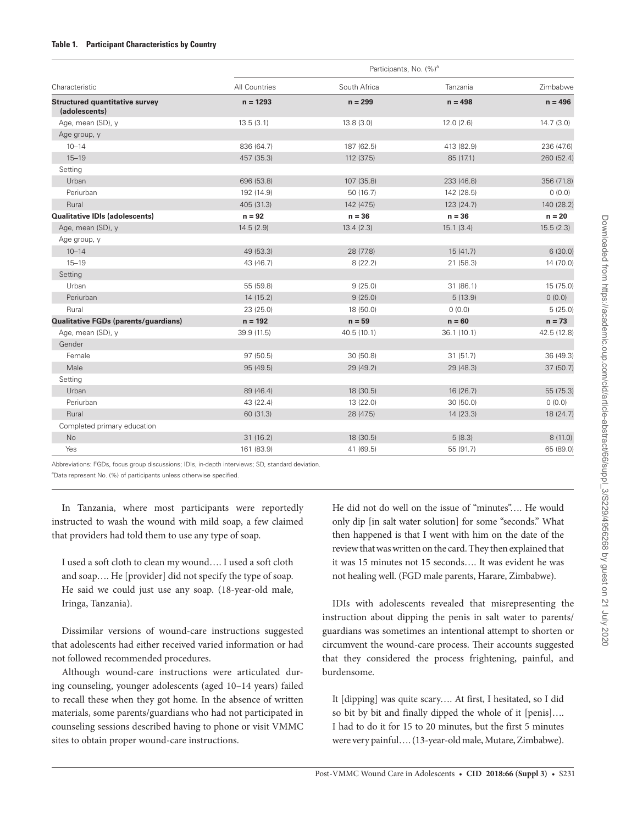## **Table 1. Participant Characteristics by Country**

| Characteristic                                         | Participants, No. (%) <sup>a</sup> |              |            |             |  |
|--------------------------------------------------------|------------------------------------|--------------|------------|-------------|--|
|                                                        | All Countries                      | South Africa | Tanzania   | Zimbabwe    |  |
| <b>Structured quantitative survey</b><br>(adolescents) | $n = 1293$                         | $n = 299$    | $n = 498$  | $n = 496$   |  |
| Age, mean (SD), y                                      | 13.5(3.1)                          | 13.8(3.0)    | 12.0(2.6)  | 14.7(3.0)   |  |
| Age group, y                                           |                                    |              |            |             |  |
| $10 - 14$                                              | 836 (64.7)                         | 187 (62.5)   | 413 (82.9) | 236 (47.6)  |  |
| $15 - 19$                                              | 457 (35.3)                         | 112 (37.5)   | 85 (17.1)  | 260 (52.4)  |  |
| Setting                                                |                                    |              |            |             |  |
| Urban                                                  | 696 (53.8)                         | 107 (35.8)   | 233 (46.8) | 356 (71.8)  |  |
| Periurban                                              | 192 (14.9)                         | 50(16.7)     | 142 (28.5) | 0(0.0)      |  |
| Rural                                                  | 405 (31.3)                         | 142 (47.5)   | 123 (24.7) | 140 (28.2)  |  |
| <b>Qualitative IDIs (adolescents)</b>                  | $n = 92$                           | $n = 36$     | $n = 36$   | $n = 20$    |  |
| Age, mean (SD), y                                      | 14.5(2.9)                          | 13.4(2.3)    | 15.1(3.4)  | 15.5(2.3)   |  |
| Age group, y                                           |                                    |              |            |             |  |
| $10 - 14$                                              | 49 (53.3)                          | 28 (77.8)    | 15(41.7)   | 6(30.0)     |  |
| $15 - 19$                                              | 43 (46.7)                          | 8(22.2)      | 21 (58.3)  | 14(70.0)    |  |
| Setting                                                |                                    |              |            |             |  |
| Urban                                                  | 55 (59.8)                          | 9(25.0)      | 31(86.1)   | 15 (75.0)   |  |
| Periurban                                              | 14(15.2)                           | 9(25.0)      | 5(13.9)    | 0(0.0)      |  |
| Rural                                                  | 23 (25.0)                          | 18 (50.0)    | 0(0.0)     | 5(25.0)     |  |
| Qualitative FGDs (parents/guardians)                   | $n = 192$                          | $n = 59$     | $n = 60$   | $n = 73$    |  |
| Age, mean (SD), y                                      | 39.9 (11.5)                        | 40.5 (10.1)  | 36.1(10.1) | 42.5 (12.8) |  |
| Gender                                                 |                                    |              |            |             |  |
| Female                                                 | 97(50.5)                           | 30(50.8)     | 31(51.7)   | 36 (49.3)   |  |
| Male                                                   | 95 (49.5)                          | 29 (49.2)    | 29 (48.3)  | 37(50.7)    |  |
| Setting                                                |                                    |              |            |             |  |
| Urban                                                  | 89 (46.4)                          | 18 (30.5)    | 16(26.7)   | 55 (75.3)   |  |
| Periurban                                              | 43 (22.4)                          | 13 (22.0)    | 30(50.0)   | (0.0)       |  |
| Rural                                                  | 60 (31.3)                          | 28 (47.5)    | 14 (23.3)  | 18 (24.7)   |  |
| Completed primary education                            |                                    |              |            |             |  |
| No                                                     | 31(16.2)                           | 18 (30.5)    | 5(8.3)     | 8(11.0)     |  |
| Yes                                                    | 161 (83.9)                         | 41 (69.5)    | 55 (91.7)  | 65 (89.0)   |  |

Abbreviations: FGDs, focus group discussions; IDIs, in-depth interviews; SD, standard deviation.

<sup>a</sup>Data represent No. (%) of participants unless otherwise specified.

In Tanzania, where most participants were reportedly instructed to wash the wound with mild soap, a few claimed that providers had told them to use any type of soap.

I used a soft cloth to clean my wound…. I used a soft cloth and soap…. He [provider] did not specify the type of soap. He said we could just use any soap. (18-year-old male, Iringa, Tanzania).

Dissimilar versions of wound-care instructions suggested that adolescents had either received varied information or had not followed recommended procedures.

Although wound-care instructions were articulated during counseling, younger adolescents (aged 10–14 years) failed to recall these when they got home. In the absence of written materials, some parents/guardians who had not participated in counseling sessions described having to phone or visit VMMC sites to obtain proper wound-care instructions.

He did not do well on the issue of "minutes"…. He would only dip [in salt water solution] for some "seconds." What then happened is that I went with him on the date of the review that was written on the card. They then explained that it was 15 minutes not 15 seconds…. It was evident he was not healing well. (FGD male parents, Harare, Zimbabwe).

IDIs with adolescents revealed that misrepresenting the instruction about dipping the penis in salt water to parents/ guardians was sometimes an intentional attempt to shorten or circumvent the wound-care process. Their accounts suggested that they considered the process frightening, painful, and burdensome.

It [dipping] was quite scary…. At first, I hesitated, so I did so bit by bit and finally dipped the whole of it [penis]…. I had to do it for 15 to 20 minutes, but the first 5 minutes were very painful…. (13-year-old male, Mutare, Zimbabwe).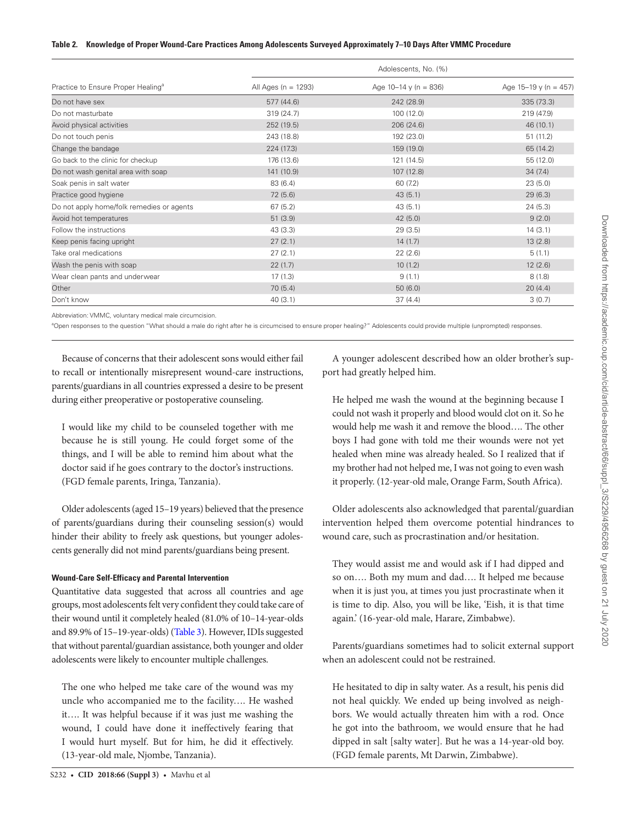#### **Table 2. Knowledge of Proper Wound-Care Practices Among Adolescents Surveyed Approximately 7–10 Days After VMMC Procedure**

|                                                | Adolescents, No. (%) |                         |                         |  |
|------------------------------------------------|----------------------|-------------------------|-------------------------|--|
| Practice to Ensure Proper Healing <sup>a</sup> | All Ages (n = 1293)  | Age $10-14$ y (n = 836) | Age $15-19$ y (n = 457) |  |
| Do not have sex                                | 577 (44.6)           | 242 (28.9)              | 335(73.3)               |  |
| Do not masturbate                              | 319(24.7)            | 100(12.0)               | 219 (47.9)              |  |
| Avoid physical activities                      | 252 (19.5)           | 206 (24.6)              | 46(10.1)                |  |
| Do not touch penis                             | 243 (18.8)           | 192 (23.0)              | 51(11.2)                |  |
| Change the bandage                             | 224 (17.3)           | 159 (19.0)              | 65 (14.2)               |  |
| Go back to the clinic for checkup              | 176 (13.6)           | 121(14.5)               | 55 (12.0)               |  |
| Do not wash genital area with soap             | 141 (10.9)           | 107 (12.8)              | 34(7.4)                 |  |
| Soak penis in salt water                       | 83 (6.4)             | 60(7.2)                 | 23(5.0)                 |  |
| Practice good hygiene                          | 72(5.6)              | 43(5.1)                 | 29(6.3)                 |  |
| Do not apply home/folk remedies or agents      | 67(5.2)              | 43(5.1)                 | 24(5.3)                 |  |
| Avoid hot temperatures                         | 51(3.9)              | 42(5.0)                 | 9(2.0)                  |  |
| Follow the instructions                        | 43(3.3)              | 29(3.5)                 | 14(3.1)                 |  |
| Keep penis facing upright                      | 27(2.1)              | 14(1.7)                 | 13(2.8)                 |  |
| Take oral medications                          | 27(2.1)              | 22(2.6)                 | 5(1.1)                  |  |
| Wash the penis with soap                       | 22(1.7)              | 10(1.2)                 | 12(2.6)                 |  |
| Wear clean pants and underwear                 | 17(1.3)              | 9(1.1)                  | 8(1.8)                  |  |
| Other                                          | 70(5.4)              | 50(6.0)                 | 20(4.4)                 |  |
| Don't know                                     | 40(3.1)              | 37(4.4)                 | 3(0.7)                  |  |

Abbreviation: VMMC, voluntary medical male circumcision.

<sup>a</sup>Open responses to the question "What should a male do right after he is circumcised to ensure proper healing?" Adolescents could provide multiple (unprompted) responses.

Because of concerns that their adolescent sons would either fail to recall or intentionally misrepresent wound-care instructions, parents/guardians in all countries expressed a desire to be present during either preoperative or postoperative counseling.

I would like my child to be counseled together with me because he is still young. He could forget some of the things, and I will be able to remind him about what the doctor said if he goes contrary to the doctor's instructions. (FGD female parents, Iringa, Tanzania).

Older adolescents (aged 15–19 years) believed that the presence of parents/guardians during their counseling session(s) would hinder their ability to freely ask questions, but younger adolescents generally did not mind parents/guardians being present.

## **Wound-Care Self-Efficacy and Parental Intervention**

Quantitative data suggested that across all countries and age groups, most adolescents felt very confident they could take care of their wound until it completely healed (81.0% of 10–14-year-olds and 89.9% of 15-19-year-olds) (Table 3). However, IDIs suggested that without parental/guardian assistance, both younger and older adolescents were likely to encounter multiple challenges.

The one who helped me take care of the wound was my uncle who accompanied me to the facility…. He washed it…. It was helpful because if it was just me washing the wound, I could have done it ineffectively fearing that I would hurt myself. But for him, he did it effectively. (13-year-old male, Njombe, Tanzania).

A younger adolescent described how an older brother's support had greatly helped him.

He helped me wash the wound at the beginning because I could not wash it properly and blood would clot on it. So he would help me wash it and remove the blood…. The other boys I had gone with told me their wounds were not yet healed when mine was already healed. So I realized that if my brother had not helped me, I was not going to even wash it properly. (12-year-old male, Orange Farm, South Africa).

Older adolescents also acknowledged that parental/guardian intervention helped them overcome potential hindrances to wound care, such as procrastination and/or hesitation.

They would assist me and would ask if I had dipped and so on…. Both my mum and dad…. It helped me because when it is just you, at times you just procrastinate when it is time to dip. Also, you will be like, 'Eish, it is that time again.' (16-year-old male, Harare, Zimbabwe).

Parents/guardians sometimes had to solicit external support when an adolescent could not be restrained.

He hesitated to dip in salty water. As a result, his penis did not heal quickly. We ended up being involved as neighbors. We would actually threaten him with a rod. Once he got into the bathroom, we would ensure that he had dipped in salt [salty water]. But he was a 14-year-old boy. (FGD female parents, Mt Darwin, Zimbabwe).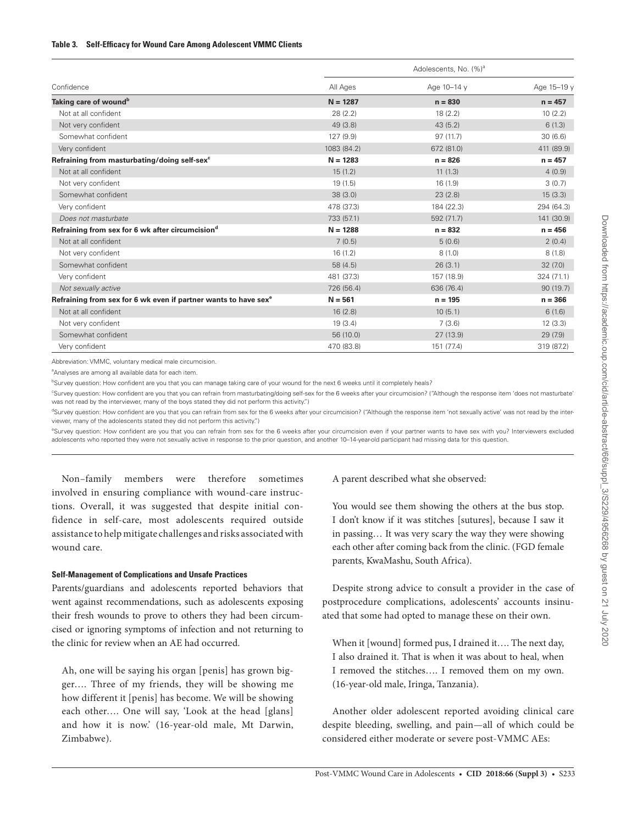|                                                                             | Adolescents, No. (%) <sup>a</sup> |             |            |  |
|-----------------------------------------------------------------------------|-----------------------------------|-------------|------------|--|
| Confidence                                                                  | All Ages                          | Age 10-14 y | Age 15-19  |  |
| Taking care of wound <sup>b</sup>                                           | $N = 1287$                        | $n = 830$   | $n = 457$  |  |
| Not at all confident                                                        | 28 (2.2)                          | 18(2.2)     | 10(2.2)    |  |
| Not very confident                                                          | 49 (3.8)                          | 43(5.2)     | 6(1.3)     |  |
| Somewhat confident                                                          | 127 (9.9)                         | 97(11.7)    | 30(6.6)    |  |
| Very confident                                                              | 1083 (84.2)                       | 672 (81.0)  | 411 (89.9) |  |
| Refraining from masturbating/doing self-sex <sup>c</sup>                    | $N = 1283$                        | $n = 826$   | $n = 457$  |  |
| Not at all confident                                                        | 15(1.2)                           | 11(1.3)     | 4(0.9)     |  |
| Not very confident                                                          | 19(1.5)                           | 16(1.9)     | 3(0.7)     |  |
| Somewhat confident                                                          | 38(3.0)                           | 23(2.8)     | 15(3.3)    |  |
| Very confident                                                              | 478 (37.3)                        | 184 (22.3)  | 294 (64.3) |  |
| Does not masturbate                                                         | 733 (57.1)                        | 592 (71.7)  | 141 (30.9) |  |
| Refraining from sex for 6 wk after circumcision <sup>d</sup>                | $N = 1288$                        | $n = 832$   | $n = 456$  |  |
| Not at all confident                                                        | 7(0.5)                            | 5(0.6)      | 2(0.4)     |  |
| Not very confident                                                          | 16(1.2)                           | 8(1,0)      | 8(1.8)     |  |
| Somewhat confident                                                          | 58 (4.5)                          | 26(3.1)     | 32(7.0)    |  |
| Very confident                                                              | 481 (37.3)                        | 157 (18.9)  | 324 (71.1) |  |
| Not sexually active                                                         | 726 (56.4)                        | 636 (76.4)  | 90(19.7)   |  |
| Refraining from sex for 6 wk even if partner wants to have sex <sup>e</sup> | $N = 561$                         | $n = 195$   | $n = 366$  |  |
| Not at all confident                                                        | 16(2.8)                           | 10(5.1)     | 6(1.6)     |  |
| Not very confident                                                          | 19(3.4)                           | 7(3.6)      | 12(3.3)    |  |
| Somewhat confident                                                          | 56 (10.0)                         | 27 (13.9)   | 29(7.9)    |  |
| Very confident                                                              | 470 (83.8)                        | 151 (77.4)  | 319 (87.2) |  |

Abbreviation: VMMC, voluntary medical male circumcision.

<sup>a</sup>Analyses are among all available data for each item.

bSurvey question: How confident are you that you can manage taking care of your wound for the next 6 weeks until it completely heals?

c Survey question: How confident are you that you can refrain from masturbating/doing self-sex for the 6 weeks after your circumcision? ("Although the response item 'does not masturbate' was not read by the interviewer, many of the boys stated they did not perform this activity.")

dSurvey question: How confident are you that you can refrain from sex for the 6 weeks after your circumcision? ("Although the response item 'not sexually active' was not read by the interviewer, many of the adolescents stated they did not perform this activity.")

<sup>e</sup>Survey question: How confident are you that you can refrain from sex for the 6 weeks after your circumcision even if your partner wants to have sex with you? Interviewers excluded adolescents who reported they were not sexually active in response to the prior question, and another 10–14-year-old participant had missing data for this question.

Non–family members were therefore sometimes involved in ensuring compliance with wound-care instructions. Overall, it was suggested that despite initial confidence in self-care, most adolescents required outside assistance to help mitigate challenges and risks associated with wound care.

## **Self-Management of Complications and Unsafe Practices**

Parents/guardians and adolescents reported behaviors that went against recommendations, such as adolescents exposing their fresh wounds to prove to others they had been circumcised or ignoring symptoms of infection and not returning to the clinic for review when an AE had occurred.

Ah, one will be saying his organ [penis] has grown bigger…. Three of my friends, they will be showing me how different it [penis] has become. We will be showing each other…. One will say, 'Look at the head [glans] and how it is now.' (16-year-old male, Mt Darwin, Zimbabwe).

A parent described what she observed:

You would see them showing the others at the bus stop. I don't know if it was stitches [sutures], because I saw it in passing… It was very scary the way they were showing each other after coming back from the clinic. (FGD female parents, KwaMashu, South Africa).

Despite strong advice to consult a provider in the case of postprocedure complications, adolescents' accounts insinuated that some had opted to manage these on their own.

When it [wound] formed pus, I drained it…. The next day, I also drained it. That is when it was about to heal, when I removed the stitches…. I removed them on my own. (16-year-old male, Iringa, Tanzania).

Another older adolescent reported avoiding clinical care despite bleeding, swelling, and pain—all of which could be considered either moderate or severe post-VMMC AEs: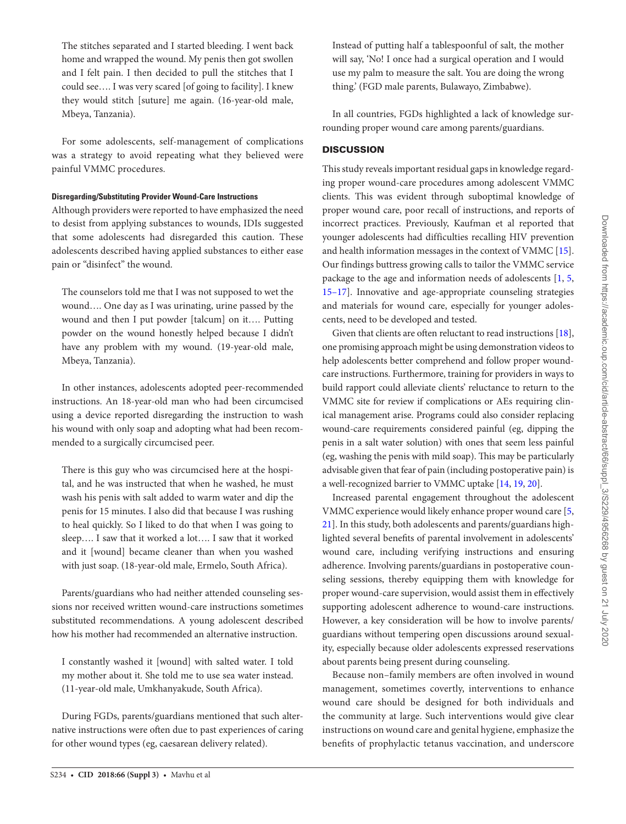The stitches separated and I started bleeding. I went back home and wrapped the wound. My penis then got swollen and I felt pain. I then decided to pull the stitches that I could see…. I was very scared [of going to facility]. I knew they would stitch [suture] me again. (16-year-old male, Mbeya, Tanzania).

For some adolescents, self-management of complications was a strategy to avoid repeating what they believed were painful VMMC procedures.

## **Disregarding/Substituting Provider Wound-Care Instructions**

Although providers were reported to have emphasized the need to desist from applying substances to wounds, IDIs suggested that some adolescents had disregarded this caution. These adolescents described having applied substances to either ease pain or "disinfect" the wound.

The counselors told me that I was not supposed to wet the wound…. One day as I was urinating, urine passed by the wound and then I put powder [talcum] on it…. Putting powder on the wound honestly helped because I didn't have any problem with my wound. (19-year-old male, Mbeya, Tanzania).

In other instances, adolescents adopted peer-recommended instructions. An 18-year-old man who had been circumcised using a device reported disregarding the instruction to wash his wound with only soap and adopting what had been recommended to a surgically circumcised peer.

There is this guy who was circumcised here at the hospital, and he was instructed that when he washed, he must wash his penis with salt added to warm water and dip the penis for 15 minutes. I also did that because I was rushing to heal quickly. So I liked to do that when I was going to sleep…. I saw that it worked a lot…. I saw that it worked and it [wound] became cleaner than when you washed with just soap. (18-year-old male, Ermelo, South Africa).

Parents/guardians who had neither attended counseling sessions nor received written wound-care instructions sometimes substituted recommendations. A young adolescent described how his mother had recommended an alternative instruction.

I constantly washed it [wound] with salted water. I told my mother about it. She told me to use sea water instead. (11-year-old male, Umkhanyakude, South Africa).

During FGDs, parents/guardians mentioned that such alternative instructions were often due to past experiences of caring for other wound types (eg, caesarean delivery related).

Instead of putting half a tablespoonful of salt, the mother will say, 'No! I once had a surgical operation and I would use my palm to measure the salt. You are doing the wrong thing.' (FGD male parents, Bulawayo, Zimbabwe).

In all countries, FGDs highlighted a lack of knowledge surrounding proper wound care among parents/guardians.

# **DISCUSSION**

This study reveals important residual gaps in knowledge regarding proper wound-care procedures among adolescent VMMC clients. This was evident through suboptimal knowledge of proper wound care, poor recall of instructions, and reports of incorrect practices. Previously, Kaufman et al reported that younger adolescents had difficulties recalling HIV prevention and health information messages in the context of VMMC [15]. Our findings buttress growing calls to tailor the VMMC service package to the age and information needs of adolescents [1, 5, 15–17]. Innovative and age-appropriate counseling strategies and materials for wound care, especially for younger adolescents, need to be developed and tested.

Given that clients are often reluctant to read instructions [18], one promising approach might be using demonstration videos to help adolescents better comprehend and follow proper woundcare instructions. Furthermore, training for providers in ways to build rapport could alleviate clients' reluctance to return to the VMMC site for review if complications or AEs requiring clinical management arise. Programs could also consider replacing wound-care requirements considered painful (eg, dipping the penis in a salt water solution) with ones that seem less painful (eg, washing the penis with mild soap). This may be particularly advisable given that fear of pain (including postoperative pain) is a well-recognized barrier to VMMC uptake [14, 19, 20].

Increased parental engagement throughout the adolescent VMMC experience would likely enhance proper wound care [5, 21]. In this study, both adolescents and parents/guardians highlighted several benefits of parental involvement in adolescents' wound care, including verifying instructions and ensuring adherence. Involving parents/guardians in postoperative counseling sessions, thereby equipping them with knowledge for proper wound-care supervision, would assist them in effectively supporting adolescent adherence to wound-care instructions. However, a key consideration will be how to involve parents/ guardians without tempering open discussions around sexuality, especially because older adolescents expressed reservations about parents being present during counseling.

Because non–family members are often involved in wound management, sometimes covertly, interventions to enhance wound care should be designed for both individuals and the community at large. Such interventions would give clear instructions on wound care and genital hygiene, emphasize the benefits of prophylactic tetanus vaccination, and underscore